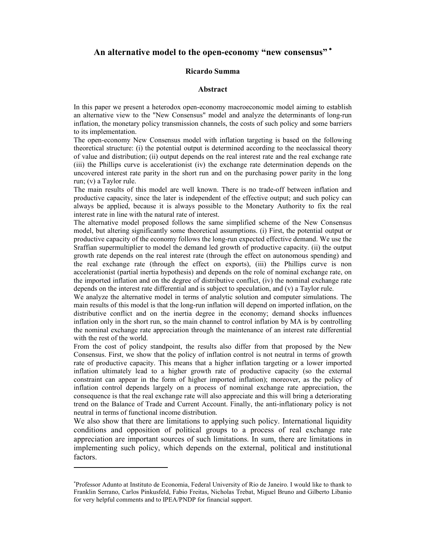# **An alternative model to the open-economy "new consensus"** <sup>∗</sup>

#### **Ricardo Summa**

#### **Abstract**

In this paper we present a heterodox open-economy macroeconomic model aiming to establish an alternative view to the "New Consensus" model and analyze the determinants of long-run inflation, the monetary policy transmission channels, the costs of such policy and some barriers to its implementation.

The open-economy New Consensus model with inflation targeting is based on the following theoretical structure: (i) the potential output is determined according to the neoclassical theory of value and distribution; (ii) output depends on the real interest rate and the real exchange rate (iii) the Phillips curve is accelerationist (iv) the exchange rate determination depends on the uncovered interest rate parity in the short run and on the purchasing power parity in the long run; (v) a Taylor rule.

The main results of this model are well known. There is no trade-off between inflation and productive capacity, since the later is independent of the effective output; and such policy can always be applied, because it is always possible to the Monetary Authority to fix the real interest rate in line with the natural rate of interest.

The alternative model proposed follows the same simplified scheme of the New Consensus model, but altering significantly some theoretical assumptions. (i) First, the potential output or productive capacity of the economy follows the long-run expected effective demand. We use the Sraffian supermultiplier to model the demand led growth of productive capacity. (ii) the output growth rate depends on the real interest rate (through the effect on autonomous spending) and the real exchange rate (through the effect on exports), (iii) the Phillips curve is non accelerationist (partial inertia hypothesis) and depends on the role of nominal exchange rate, on the imported inflation and on the degree of distributive conflict, (iv) the nominal exchange rate depends on the interest rate differential and is subject to speculation, and (v) a Taylor rule.

We analyze the alternative model in terms of analytic solution and computer simulations. The main results of this model is that the long-run inflation will depend on imported inflation, on the distributive conflict and on the inertia degree in the economy; demand shocks influences inflation only in the short run, so the main channel to control inflation by MA is by controlling the nominal exchange rate appreciation through the maintenance of an interest rate differential with the rest of the world.

From the cost of policy standpoint, the results also differ from that proposed by the New Consensus. First, we show that the policy of inflation control is not neutral in terms of growth rate of productive capacity. This means that a higher inflation targeting or a lower imported inflation ultimately lead to a higher growth rate of productive capacity (so the external constraint can appear in the form of higher imported inflation); moreover, as the policy of inflation control depends largely on a process of nominal exchange rate appreciation, the consequence is that the real exchange rate will also appreciate and this will bring a deteriorating trend on the Balance of Trade and Current Account. Finally, the anti-inflationary policy is not neutral in terms of functional income distribution.

We also show that there are limitations to applying such policy. International liquidity conditions and opposition of political groups to a process of real exchange rate appreciation are important sources of such limitations. In sum, there are limitations in implementing such policy, which depends on the external, political and institutional factors.

l,

<sup>∗</sup> Professor Adunto at Instituto de Economia, Federal University of Rio de Janeiro. I would like to thank to Franklin Serrano, Carlos Pinkusfeld, Fabio Freitas, Nicholas Trebat, Miguel Bruno and Gilberto Libanio for very helpful comments and to IPEA/PNDP for financial support.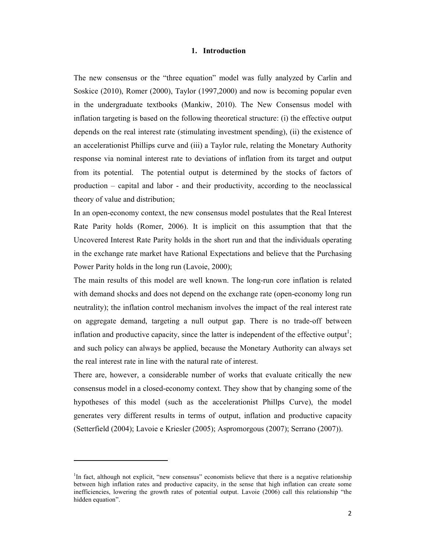## **1. Introduction**

The new consensus or the "three equation" model was fully analyzed by Carlin and Soskice (2010), Romer (2000), Taylor (1997,2000) and now is becoming popular even in the undergraduate textbooks (Mankiw, 2010). The New Consensus model with inflation targeting is based on the following theoretical structure: (i) the effective output depends on the real interest rate (stimulating investment spending), (ii) the existence of an accelerationist Phillips curve and (iii) a Taylor rule, relating the Monetary Authority response via nominal interest rate to deviations of inflation from its target and output from its potential. The potential output is determined by the stocks of factors of production – capital and labor - and their productivity, according to the neoclassical theory of value and distribution;

In an open-economy context, the new consensus model postulates that the Real Interest Rate Parity holds (Romer, 2006). It is implicit on this assumption that that the Uncovered Interest Rate Parity holds in the short run and that the individuals operating in the exchange rate market have Rational Expectations and believe that the Purchasing Power Parity holds in the long run (Lavoie, 2000);

The main results of this model are well known. The long-run core inflation is related with demand shocks and does not depend on the exchange rate (open-economy long run neutrality); the inflation control mechanism involves the impact of the real interest rate on aggregate demand, targeting a null output gap. There is no trade-off between inflation and productive capacity, since the latter is independent of the effective output<sup>1</sup>; and such policy can always be applied, because the Monetary Authority can always set the real interest rate in line with the natural rate of interest.

There are, however, a considerable number of works that evaluate critically the new consensus model in a closed-economy context. They show that by changing some of the hypotheses of this model (such as the accelerationist Phillps Curve), the model generates very different results in terms of output, inflation and productive capacity (Setterfield (2004); Lavoie e Kriesler (2005); Aspromorgous (2007); Serrano (2007)).

l,

<sup>&</sup>lt;sup>1</sup>In fact, although not explicit, "new consensus" economists believe that there is a negative relationship between high inflation rates and productive capacity, in the sense that high inflation can create some inefficiencies, lowering the growth rates of potential output. Lavoie (2006) call this relationship "the hidden equation".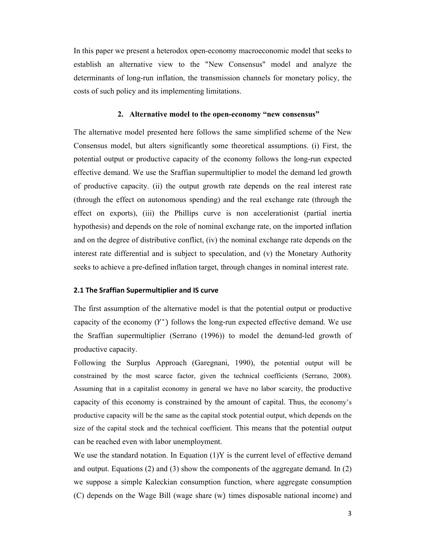In this paper we present a heterodox open-economy macroeconomic model that seeks to establish an alternative view to the "New Consensus" model and analyze the determinants of long-run inflation, the transmission channels for monetary policy, the costs of such policy and its implementing limitations.

# **2. Alternative model to the open-economy "new consensus"**

The alternative model presented here follows the same simplified scheme of the New Consensus model, but alters significantly some theoretical assumptions. (i) First, the potential output or productive capacity of the economy follows the long-run expected effective demand. We use the Sraffian supermultiplier to model the demand led growth of productive capacity. (ii) the output growth rate depends on the real interest rate (through the effect on autonomous spending) and the real exchange rate (through the effect on exports), (iii) the Phillips curve is non accelerationist (partial inertia hypothesis) and depends on the role of nominal exchange rate, on the imported inflation and on the degree of distributive conflict, (iv) the nominal exchange rate depends on the interest rate differential and is subject to speculation, and (v) the Monetary Authority seeks to achieve a pre-defined inflation target, through changes in nominal interest rate.

# **2.1 The Sraffian Supermultiplier and IS curve**

The first assumption of the alternative model is that the potential output or productive capacity of the economy  $(Y^*)$  follows the long-run expected effective demand. We use the Sraffian supermultiplier (Serrano (1996)) to model the demand-led growth of productive capacity.

Following the Surplus Approach (Garegnani, 1990), the potential output will be constrained by the most scarce factor, given the technical coefficients (Serrano, 2008). Assuming that in a capitalist economy in general we have no labor scarcity, the productive capacity of this economy is constrained by the amount of capital. Thus, the economy's productive capacity will be the same as the capital stock potential output, which depends on the size of the capital stock and the technical coefficient. This means that the potential output can be reached even with labor unemployment.

We use the standard notation. In Equation  $(1)Y$  is the current level of effective demand and output. Equations (2) and (3) show the components of the aggregate demand. In (2) we suppose a simple Kaleckian consumption function, where aggregate consumption (C) depends on the Wage Bill (wage share (w) times disposable national income) and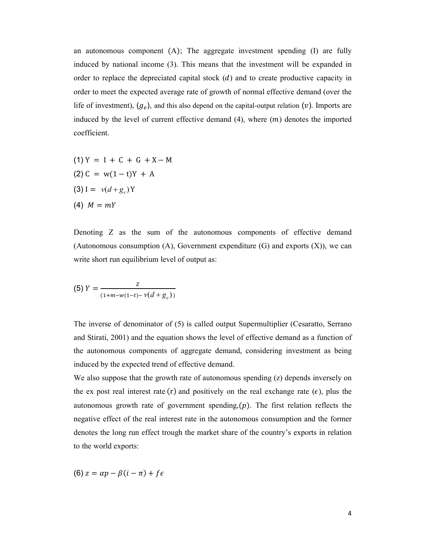an autonomous component  $(A)$ ; The aggregate investment spending  $(I)$  are fully induced by national income (3). This means that the investment will be expanded in order to replace the depreciated capital stock  $(d)$  and to create productive capacity in order to meet the expected average rate of growth of normal effective demand (over the life of investment),  $(g_e)$ , and this also depend on the capital-output relation  $(v)$ . Imports are induced by the level of current effective demand  $(4)$ , where  $(m)$  denotes the imported coefficient.

(1) 
$$
Y = I + C + G + X - M
$$
  
(2)  $C = w(1-t)Y + A$   
(3)  $I = v(d+g_e)Y$   
(4)  $M = mY$ 

Denoting Z as the sum of the autonomous components of effective demand (Autonomous consumption  $(A)$ , Government expenditure  $(G)$  and exports  $(X)$ ), we can write short run equilibrium level of output as:

(5) 
$$
Y = \frac{z}{(1+m-w(1-t)-v(d+g_e))}
$$

The inverse of denominator of (5) is called output Supermultiplier (Cesaratto, Serrano and Stirati, 2001) and the equation shows the level of effective demand as a function of the autonomous components of aggregate demand, considering investment as being induced by the expected trend of effective demand.

We also suppose that the growth rate of autonomous spending (z) depends inversely on the ex post real interest rate  $(r)$  and positively on the real exchange rate  $(\epsilon)$ , plus the autonomous growth rate of government spending $(p)$ . The first relation reflects the negative effect of the real interest rate in the autonomous consumption and the former denotes the long run effect trough the market share of the country's exports in relation to the world exports:

$$
(6) z = \alpha p - \beta(i - \pi) + f\epsilon
$$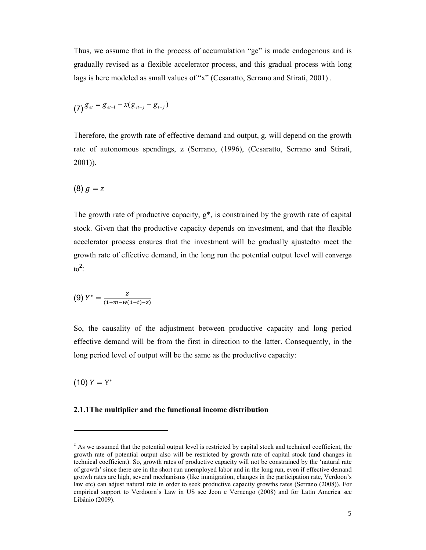Thus, we assume that in the process of accumulation "ge" is made endogenous and is gradually revised as a flexible accelerator process, and this gradual process with long lags is here modeled as small values of "x" (Cesaratto, Serrano and Stirati, 2001).

$$
(7) \mathcal{S}_{et} = \mathcal{S}_{et-1} + x(g_{et-j} - g_{t-j})
$$

Therefore, the growth rate of effective demand and output, g, will depend on the growth rate of autonomous spendings, z (Serrano, (1996), (Cesaratto, Serrano and Stirati, 2001)).

$$
(8) g = z
$$

The growth rate of productive capacity,  $g^*$ , is constrained by the growth rate of capital stock. Given that the productive capacity depends on investment, and that the flexible accelerator process ensures that the investment will be gradually ajustedto meet the growth rate of effective demand, in the long run the potential output level will converge  $\mathrm{to}^2$ :

$$
(9) Y^* = \frac{Z}{(1+m-w(1-t)-z)}
$$

So, the causality of the adjustment between productive capacity and long period effective demand will be from the first in direction to the latter. Consequently, in the long period level of output will be the same as the productive capacity:

(10)  $Y = Y^*$ 

l,

## **2.1.1The multiplier and the functional income distribution**

 $2^2$  As we assumed that the potential output level is restricted by capital stock and technical coefficient, the growth rate of potential output also will be restricted by growth rate of capital stock (and changes in technical coefficient). So, growth rates of productive capacity will not be constrained by the 'natural rate of growth' since there are in the short run unemployed labor and in the long run, even if effective demand grotwh rates are high, several mechanisms (like immigration, changes in the participation rate, Verdoon's law etc) can adjust natural rate in order to seek productive capacity growths rates (Serrano (2008)). For empirical support to Verdoorn's Law in US see Jeon e Vernengo (2008) and for Latin America see Libânio (2009).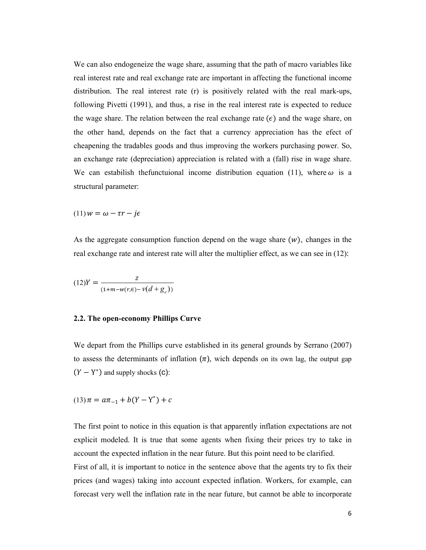We can also endogeneize the wage share, assuming that the path of macro variables like real interest rate and real exchange rate are important in affecting the functional income distribution. The real interest rate (r) is positively related with the real mark-ups, following Pivetti (1991), and thus, a rise in the real interest rate is expected to reduce the wage share. The relation between the real exchange rate  $(\epsilon)$  and the wage share, on the other hand, depends on the fact that a currency appreciation has the efect of cheapening the tradables goods and thus improving the workers purchasing power. So, an exchange rate (depreciation) appreciation is related with a (fall) rise in wage share. We can estabilish the functuional income distribution equation (11), where  $\omega$  is a structural parameter:

$$
(11) w = \omega - \tau r - j\epsilon
$$

As the aggregate consumption function depend on the wage share  $(w)$ , changes in the real exchange rate and interest rate will alter the multiplier effect, as we can see in (12):

$$
(12)Y = \frac{Z}{(1+m-w(r,\epsilon)-v(d+g_e))}
$$

#### **2.2. The open-economy Phillips Curve**

We depart from the Phillips curve established in its general grounds by Serrano (2007) to assess the determinants of inflation  $(\pi)$ , wich depends on its own lag, the output gap  $(Y - Y^*)$  and supply shocks (C):

$$
(13)\,\pi = a\pi_{-1} + b(Y - Y^*) + c
$$

The first point to notice in this equation is that apparently inflation expectations are not explicit modeled. It is true that some agents when fixing their prices try to take in account the expected inflation in the near future. But this point need to be clarified.

First of all, it is important to notice in the sentence above that the agents try to fix their prices (and wages) taking into account expected inflation. Workers, for example, can forecast very well the inflation rate in the near future, but cannot be able to incorporate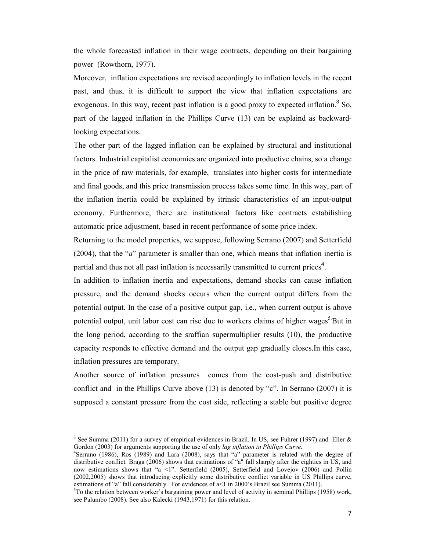the whole forecasted inflation in their wage contracts, depending on their bargaining power (Rowthorn, 1977).

Moreover, inflation expectations are revised accordingly to inflation levels in the recent past, and thus, it is difficult to support the view that inflation expectations are exogenous. In this way, recent past inflation is a good proxy to expected inflation.<sup>3</sup> So, part of the lagged inflation in the Phillips Curve (13) can be explaind as backwardlooking expectations.

The other part of the lagged inflation can be explained by structural and institutional factors. Industrial capitalist economies are organized into productive chains, so a change in the price of raw materials, for example, translates into higher costs for intermediate and final goods, and this price transmission process takes some time. In this way, part of the inflation inertia could be explained by itrinsic characteristics of an input-output economy. Furthermore, there are institutional factors like contracts estabilishing automatic price adjustment, based in recent performance of some price index.

Returning to the model properties, we suppose, following Serrano (2007) and Setterfield (2004), that the "*a*" parameter is smaller than one, which means that inflation inertia is partial and thus not all past inflation is necessarily transmitted to current prices<sup>4</sup>.

In addition to inflation inertia and expectations, demand shocks can cause inflation pressure, and the demand shocks occurs when the current output differs from the potential output. In the case of a positive output gap, i.e., when current output is above potential output, unit labor cost can rise due to workers claims of higher wages<sup>5</sup>.But in the long period, according to the sraffian supermultiplier results (10), the productive capacity responds to effective demand and the output gap gradually closes.In this case, inflation pressures are temporary.

Another source of inflation pressures comes from the cost-push and distributive conflict and in the Phillips Curve above (13) is denoted by "c". In Serrano (2007) it is supposed a constant pressure from the cost side, reflecting a stable but positive degree

l,

<sup>&</sup>lt;sup>3</sup> See Summa (2011) for a survey of empirical evidences in Brazil. In US, see Fuhrer (1997) and Eller & Gordon (2003) for arguments supporting the use of only *lag inflation in Phillips Curve*.

<sup>&</sup>lt;sup>4</sup>Serrano (1986), Ros (1989) and Lara (2008), says that "a" parameter is related with the degree of distributive conflict. Braga (2006) shows that estimations of "a" fall sharply after the eighties in US, and now estimations shows that "a <1". Setterfield (2005), Setterfield and Lovejov (2006) and Pollin (2002,2005) shows that introducing explicitly some distributive conflict variable in US Phillips curve, estimations of "a" fall considerably. For evidences of a<1 in 2000's Brazil see Summa (2011).

<sup>&</sup>lt;sup>5</sup>To the relation between worker's bargaining power and level of activity in seminal Phillips (1958) work, see Palumbo (2008). See also Kalecki (1943,1971) for this relation.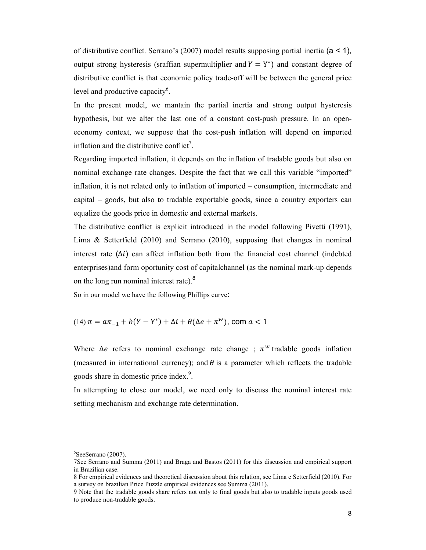of distributive conflict. Serrano's (2007) model results supposing partial inertia (a < 1), output strong hysteresis (sraffian supermultiplier and  $Y = Y^*$ ) and constant degree of distributive conflict is that economic policy trade-off will be between the general price level and productive capacity $<sup>6</sup>$ .</sup>

In the present model, we mantain the partial inertia and strong output hysteresis hypothesis, but we alter the last one of a constant cost-push pressure. In an openeconomy context, we suppose that the cost-push inflation will depend on imported inflation and the distributive conflict<sup>7</sup>.

Regarding imported inflation, it depends on the inflation of tradable goods but also on nominal exchange rate changes. Despite the fact that we call this variable "imported" inflation, it is not related only to inflation of imported – consumption, intermediate and capital – goods, but also to tradable exportable goods, since a country exporters can equalize the goods price in domestic and external markets.

The distributive conflict is explicit introduced in the model following Pivetti (1991), Lima & Setterfield (2010) and Serrano (2010), supposing that changes in nominal interest rate  $(\Delta i)$  can affect inflation both from the financial cost channel (indebted enterprises)and form oportunity cost of capitalchannel (as the nominal mark-up depends on the long run nominal interest rate).<sup>8</sup>

So in our model we have the following Phillips curve:

 $(14)$   $\pi = a\pi_{-1} + b(Y - Y^*) + \Delta i + \theta(\Delta e + \pi^W)$ , com  $a < 1$ 

Where  $\Delta e$  refers to nominal exchange rate change ;  $\pi^w$  tradable goods inflation (measured in international currency); and  $\theta$  is a parameter which reflects the tradable goods share in domestic price index.<sup>9</sup>.

In attempting to close our model, we need only to discuss the nominal interest rate setting mechanism and exchange rate determination.

<u>.</u>

<sup>6</sup> SeeSerrano (2007).

<sup>7</sup>See Serrano and Summa (2011) and Braga and Bastos (2011) for this discussion and empirical support in Brazilian case.

<sup>8</sup> For empirical evidences and theoretical discussion about this relation, see Lima e Setterfield (2010). For a survey on brazilian Price Puzzle empirical evidences see Summa (2011).

<sup>9</sup> Note that the tradable goods share refers not only to final goods but also to tradable inputs goods used to produce non-tradable goods.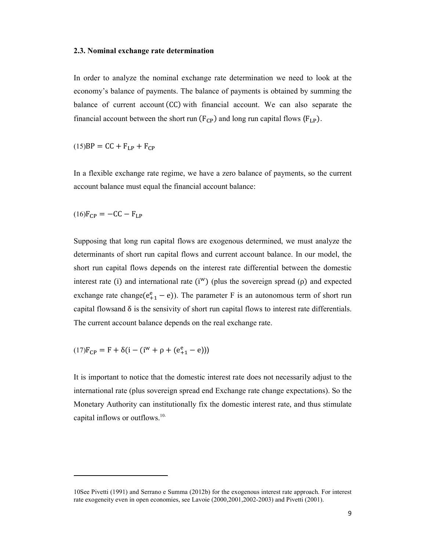#### **2.3. Nominal exchange rate determination**

In order to analyze the nominal exchange rate determination we need to look at the economy's balance of payments. The balance of payments is obtained by summing the balance of current account  $(CC)$  with financial account. We can also separate the financial account between the short run  $(F_{CP})$  and long run capital flows  $(F_{LP})$ .

 $(15)BP = CC + F<sub>LP</sub> + F<sub>CP</sub>$ 

In a flexible exchange rate regime, we have a zero balance of payments, so the current account balance must equal the financial account balance:

$$
(16)F_{CP} = -CC - F_{LP}
$$

l,

Supposing that long run capital flows are exogenous determined, we must analyze the determinants of short run capital flows and current account balance. In our model, the short run capital flows depends on the interest rate differential between the domestic interest rate (i) and international rate  $(i^w)$  (plus the sovereign spread ( $\rho$ ) and expected exchange rate change( $e_{+1}^e - e$ )). The parameter F is an autonomous term of short run capital flowsand  $\delta$  is the sensivity of short run capital flows to interest rate differentials. The current account balance depends on the real exchange rate.

 $(17)F_{CP} = F + \delta(i - (i^{w} + \rho + (e_{+1}^{e} - e)))$ 

It is important to notice that the domestic interest rate does not necessarily adjust to the international rate (plus sovereign spread end Exchange rate change expectations). So the Monetary Authority can institutionally fix the domestic interest rate, and thus stimulate capital inflows or outflows.<sup>10.</sup>

<sup>10</sup>See Pivetti (1991) and Serrano e Summa (2012b) for the exogenous interest rate approach. For interest rate exogeneity even in open economies, see Lavoie (2000,2001,2002-2003) and Pivetti (2001).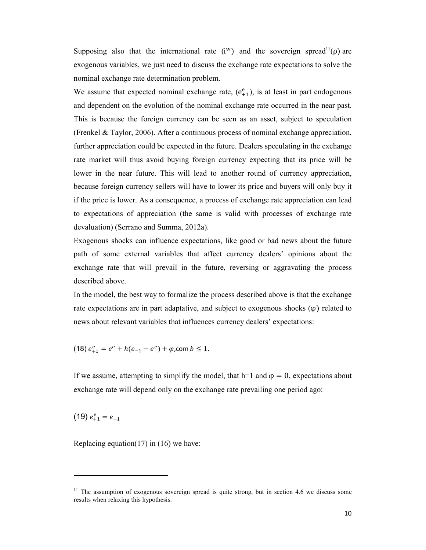Supposing also that the international rate  $(i^w)$  and the sovereign spread<sup>11</sup>( $\rho$ ) are exogenous variables, we just need to discuss the exchange rate expectations to solve the nominal exchange rate determination problem.

We assume that expected nominal exchange rate,  $(e_{+1}^e)$ , is at least in part endogenous and dependent on the evolution of the nominal exchange rate occurred in the near past. This is because the foreign currency can be seen as an asset, subject to speculation (Frenkel & Taylor, 2006). After a continuous process of nominal exchange appreciation, further appreciation could be expected in the future. Dealers speculating in the exchange rate market will thus avoid buying foreign currency expecting that its price will be lower in the near future. This will lead to another round of currency appreciation, because foreign currency sellers will have to lower its price and buyers will only buy it if the price is lower. As a consequence, a process of exchange rate appreciation can lead to expectations of appreciation (the same is valid with processes of exchange rate devaluation) (Serrano and Summa, 2012a).

Exogenous shocks can influence expectations, like good or bad news about the future path of some external variables that affect currency dealers' opinions about the exchange rate that will prevail in the future, reversing or aggravating the process described above.

In the model, the best way to formalize the process described above is that the exchange rate expectations are in part adaptative, and subject to exogenous shocks  $(\varphi)$  related to news about relevant variables that influences currency dealers' expectations:

(18)  $e_{+1}^e = e^e + h(e_{-1} - e^e) + \varphi$ , com  $b \le 1$ .

If we assume, attempting to simplify the model, that h=1 and  $\varphi = 0$ , expectations about exchange rate will depend only on the exchange rate prevailing one period ago:

(19)  $e_{+1}^e = e_{-1}$ 

l,

Replacing equation(17) in (16) we have:

<sup>&</sup>lt;sup>11</sup> The assumption of exogenous sovereign spread is quite strong, but in section 4.6 we discuss some results when relaxing this hypothesis.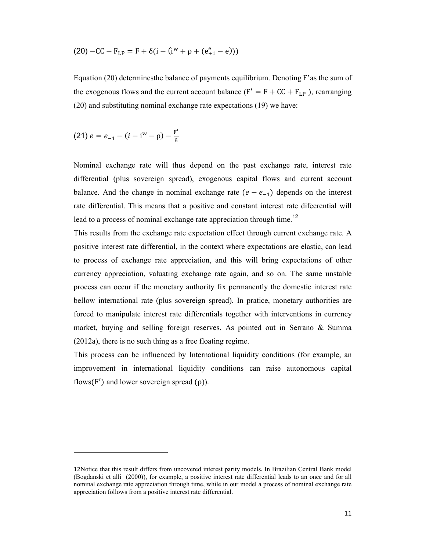$$
(20) - CC - F_{LP} = F + \delta(i - (i^{w} + \rho + (e_{+1}^{e} - e)))
$$

Equation (20) determines the balance of payments equilibrium. Denoting  $F'$  as the sum of the exogenous flows and the current account balance ( $F' = F + CC + F_{LP}$ ), rearranging (20) and substituting nominal exchange rate expectations (19) we have:

(21) 
$$
e = e_{-1} - (i - i^{w} - \rho) - \frac{F'}{\delta}
$$

-

Nominal exchange rate will thus depend on the past exchange rate, interest rate differential (plus sovereign spread), exogenous capital flows and current account balance. And the change in nominal exchange rate  $(e - e_{-1})$  depends on the interest rate differential. This means that a positive and constant interest rate difeerential will lead to a process of nominal exchange rate appreciation through time.<sup>12</sup>

This results from the exchange rate expectation effect through current exchange rate. A positive interest rate differential, in the context where expectations are elastic, can lead to process of exchange rate appreciation, and this will bring expectations of other currency appreciation, valuating exchange rate again, and so on. The same unstable process can occur if the monetary authority fix permanently the domestic interest rate bellow international rate (plus sovereign spread). In pratice, monetary authorities are forced to manipulate interest rate differentials together with interventions in currency market, buying and selling foreign reserves. As pointed out in Serrano & Summa (2012a), there is no such thing as a free floating regime.

This process can be influenced by International liquidity conditions (for example, an improvement in international liquidity conditions can raise autonomous capital flows(F') and lower sovereign spread  $(\rho)$ ).

<sup>12</sup>Notice that this result differs from uncovered interest parity models. In Brazilian Central Bank model (Bogdanski et alli (2000)), for example, a positive interest rate differential leads to an once and for all nominal exchange rate appreciation through time, while in our model a process of nominal exchange rate appreciation follows from a positive interest rate differential.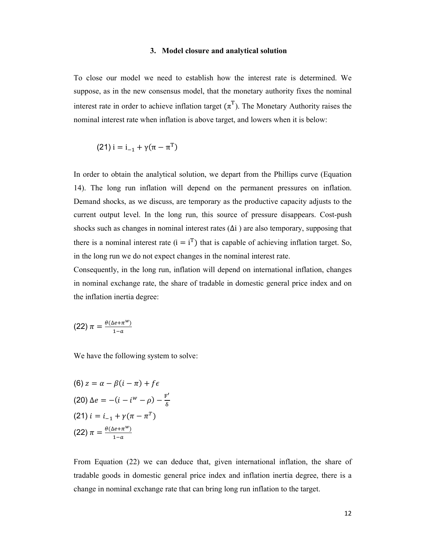#### **3. Model closure and analytical solution**

To close our model we need to establish how the interest rate is determined. We suppose, as in the new consensus model, that the monetary authority fixes the nominal interest rate in order to achieve inflation target  $(\pi^T)$ . The Monetary Authority raises the nominal interest rate when inflation is above target, and lowers when it is below:

(21) 
$$
i = i_{-1} + \gamma(\pi - \pi^T)
$$

In order to obtain the analytical solution, we depart from the Phillips curve (Equation 14). The long run inflation will depend on the permanent pressures on inflation. Demand shocks, as we discuss, are temporary as the productive capacity adjusts to the current output level. In the long run, this source of pressure disappears. Cost-push shocks such as changes in nominal interest rates  $(\Delta i)$  are also temporary, supposing that there is a nominal interest rate  $(i = i<sup>T</sup>)$  that is capable of achieving inflation target. So, in the long run we do not expect changes in the nominal interest rate.

Consequently, in the long run, inflation will depend on international inflation, changes in nominal exchange rate, the share of tradable in domestic general price index and on the inflation inertia degree:

$$
(22)\,\pi=\frac{\theta(\Delta e+\pi^w)}{1-a}
$$

We have the following system to solve:

(6) 
$$
z = \alpha - \beta(i - \pi) + f\epsilon
$$
  
\n(20)  $\Delta e = -(i - i^w - \rho) - \frac{F'}{\delta}$   
\n(21)  $i = i_{-1} + \gamma(\pi - \pi^T)$   
\n(22)  $\pi = \frac{\theta(\Delta e + \pi^w)}{1 - \alpha}$ 

From Equation (22) we can deduce that, given international inflation, the share of tradable goods in domestic general price index and inflation inertia degree, there is a change in nominal exchange rate that can bring long run inflation to the target.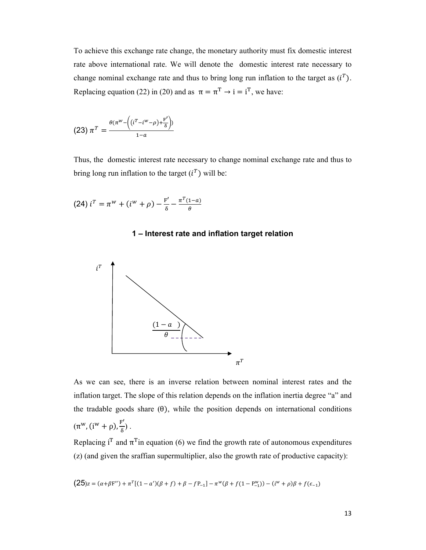To achieve this exchange rate change, the monetary authority must fix domestic interest rate above international rate. We will denote the domestic interest rate necessary to change nominal exchange rate and thus to bring long run inflation to the target as  $(i^T)$ . Replacing equation (22) in (20) and as  $\pi = \pi^T \rightarrow i = i^T$ , we have:

$$
(23) \; \pi^T = \frac{\theta(\pi^w - \left((i^T - i^w - \rho) + \frac{F'}{\delta}\right))}{1 - a}
$$

Thus, the domestic interest rate necessary to change nominal exchange rate and thus to bring long run inflation to the target  $(i^T)$  will be:

(24) 
$$
i^T = \pi^w + (i^w + \rho) - \frac{F'}{\delta} - \frac{\pi^T (1-a)}{\theta}
$$

# **1 – Interest rate and inflation target relation**



As we can see, there is an inverse relation between nominal interest rates and the inflation target. The slope of this relation depends on the inflation inertia degree "a" and the tradable goods share  $(\theta)$ , while the position depends on international conditions  $(\pi^w, (i^w + \rho), \frac{F'}{\delta})$  $\frac{1}{\delta}$ ).

Replacing  $i^T$  and  $\pi^T$  in equation (6) we find the growth rate of autonomous expenditures (z) (and given the sraffian supermultiplier, also the growth rate of productive capacity):

$$
\big(25)z = (\alpha + \beta\mathrm{F''}) + \pi^T[(1-\alpha')(\beta + f) + \beta - f\mathrm{P_{-1}}] - \pi^w(\beta + f(1-\mathrm{P_{-1}^w})) - (i^w + \rho)\beta + f(\epsilon_{-1})
$$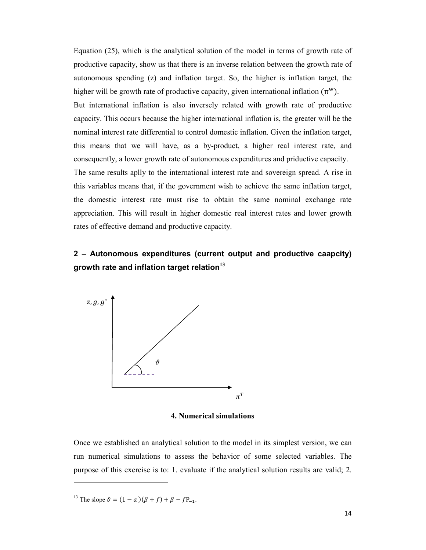Equation (25), which is the analytical solution of the model in terms of growth rate of productive capacity, show us that there is an inverse relation between the growth rate of autonomous spending (z) and inflation target. So, the higher is inflation target, the higher will be growth rate of productive capacity, given international inflation  $(\pi^w)$ . But international inflation is also inversely related with growth rate of productive capacity. This occurs because the higher international inflation is, the greater will be the nominal interest rate differential to control domestic inflation. Given the inflation target, this means that we will have, as a by-product, a higher real interest rate, and consequently, a lower growth rate of autonomous expenditures and priductive capacity. The same results aplly to the international interest rate and sovereign spread. A rise in this variables means that, if the government wish to achieve the same inflation target, the domestic interest rate must rise to obtain the same nominal exchange rate appreciation. This will result in higher domestic real interest rates and lower growth rates of effective demand and productive capacity.

# **2 – Autonomous expenditures (current output and productive caapcity) growth rate and inflation target relation<sup>13</sup>**



**4. Numerical simulations** 

Once we established an analytical solution to the model in its simplest version, we can run numerical simulations to assess the behavior of some selected variables. The purpose of this exercise is to: 1. evaluate if the analytical solution results are valid; 2.

l,

<sup>&</sup>lt;sup>13</sup> The slope  $\vartheta = (1 - a')(\beta + f) + \beta - fP_{-1}$ .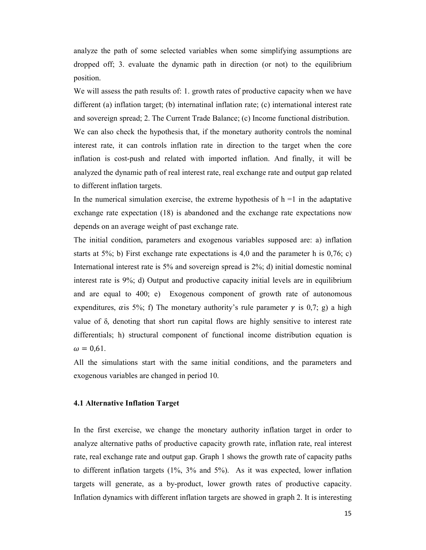analyze the path of some selected variables when some simplifying assumptions are dropped off; 3. evaluate the dynamic path in direction (or not) to the equilibrium position.

We will assess the path results of: 1. growth rates of productive capacity when we have different (a) inflation target; (b) internatinal inflation rate; (c) international interest rate and sovereign spread; 2. The Current Trade Balance; (c) Income functional distribution.

We can also check the hypothesis that, if the monetary authority controls the nominal interest rate, it can controls inflation rate in direction to the target when the core inflation is cost-push and related with imported inflation. And finally, it will be analyzed the dynamic path of real interest rate, real exchange rate and output gap related to different inflation targets.

In the numerical simulation exercise, the extreme hypothesis of  $h = 1$  in the adaptative exchange rate expectation (18) is abandoned and the exchange rate expectations now depends on an average weight of past exchange rate.

The initial condition, parameters and exogenous variables supposed are: a) inflation starts at  $5\%$ ; b) First exchange rate expectations is 4,0 and the parameter h is 0,76; c) International interest rate is 5% and sovereign spread is 2%; d) initial domestic nominal interest rate is 9%; d) Output and productive capacity initial levels are in equilibrium and are equal to 400; e) Exogenous component of growth rate of autonomous expenditures,  $\alpha$  is 5%; f) The monetary authority's rule parameter  $\gamma$  is 0,7; g) a high value of  $\delta$ , denoting that short run capital flows are highly sensitive to interest rate differentials; h) structural component of functional income distribution equation is  $\omega = 0.61$ .

All the simulations start with the same initial conditions, and the parameters and exogenous variables are changed in period 10.

### **4.1 Alternative Inflation Target**

In the first exercise, we change the monetary authority inflation target in order to analyze alternative paths of productive capacity growth rate, inflation rate, real interest rate, real exchange rate and output gap. Graph 1 shows the growth rate of capacity paths to different inflation targets (1%, 3% and 5%). As it was expected, lower inflation targets will generate, as a by-product, lower growth rates of productive capacity. Inflation dynamics with different inflation targets are showed in graph 2. It is interesting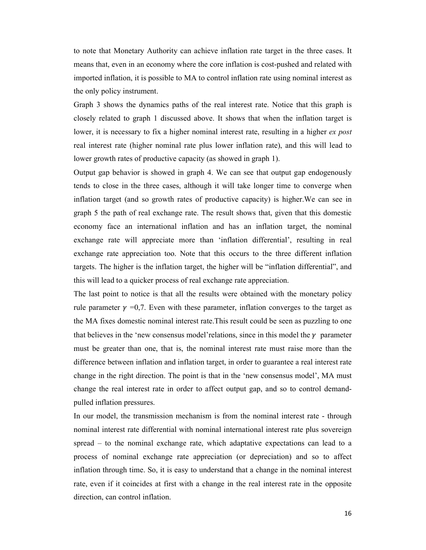to note that Monetary Authority can achieve inflation rate target in the three cases. It means that, even in an economy where the core inflation is cost-pushed and related with imported inflation, it is possible to MA to control inflation rate using nominal interest as the only policy instrument.

Graph 3 shows the dynamics paths of the real interest rate. Notice that this graph is closely related to graph 1 discussed above. It shows that when the inflation target is lower, it is necessary to fix a higher nominal interest rate, resulting in a higher *ex post* real interest rate (higher nominal rate plus lower inflation rate), and this will lead to lower growth rates of productive capacity (as showed in graph 1).

Output gap behavior is showed in graph 4. We can see that output gap endogenously tends to close in the three cases, although it will take longer time to converge when inflation target (and so growth rates of productive capacity) is higher.We can see in graph 5 the path of real exchange rate. The result shows that, given that this domestic economy face an international inflation and has an inflation target, the nominal exchange rate will appreciate more than 'inflation differential', resulting in real exchange rate appreciation too. Note that this occurs to the three different inflation targets. The higher is the inflation target, the higher will be "inflation differential", and this will lead to a quicker process of real exchange rate appreciation.

The last point to notice is that all the results were obtained with the monetary policy rule parameter  $\gamma = 0.7$ . Even with these parameter, inflation converges to the target as the MA fixes domestic nominal interest rate.This result could be seen as puzzling to one that believes in the 'new consensus model' relations, since in this model the  $\gamma$  parameter must be greater than one, that is, the nominal interest rate must raise more than the difference between inflation and inflation target, in order to guarantee a real interest rate change in the right direction. The point is that in the 'new consensus model', MA must change the real interest rate in order to affect output gap, and so to control demandpulled inflation pressures.

In our model, the transmission mechanism is from the nominal interest rate - through nominal interest rate differential with nominal international interest rate plus sovereign spread – to the nominal exchange rate, which adaptative expectations can lead to a process of nominal exchange rate appreciation (or depreciation) and so to affect inflation through time. So, it is easy to understand that a change in the nominal interest rate, even if it coincides at first with a change in the real interest rate in the opposite direction, can control inflation.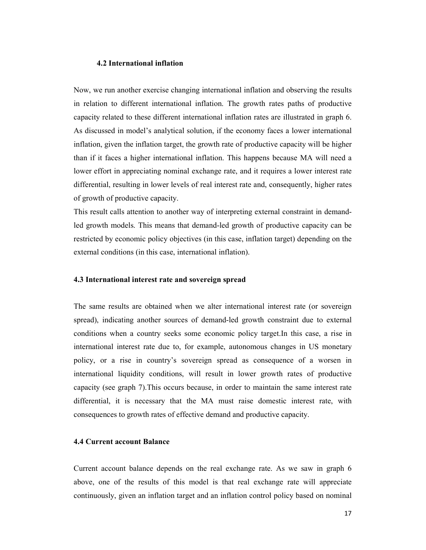# **4.2 International inflation**

Now, we run another exercise changing international inflation and observing the results in relation to different international inflation. The growth rates paths of productive capacity related to these different international inflation rates are illustrated in graph 6. As discussed in model's analytical solution, if the economy faces a lower international inflation, given the inflation target, the growth rate of productive capacity will be higher than if it faces a higher international inflation. This happens because MA will need a lower effort in appreciating nominal exchange rate, and it requires a lower interest rate differential, resulting in lower levels of real interest rate and, consequently, higher rates of growth of productive capacity.

This result calls attention to another way of interpreting external constraint in demandled growth models. This means that demand-led growth of productive capacity can be restricted by economic policy objectives (in this case, inflation target) depending on the external conditions (in this case, international inflation).

#### **4.3 International interest rate and sovereign spread**

The same results are obtained when we alter international interest rate (or sovereign spread), indicating another sources of demand-led growth constraint due to external conditions when a country seeks some economic policy target.In this case, a rise in international interest rate due to, for example, autonomous changes in US monetary policy, or a rise in country's sovereign spread as consequence of a worsen in international liquidity conditions, will result in lower growth rates of productive capacity (see graph 7).This occurs because, in order to maintain the same interest rate differential, it is necessary that the MA must raise domestic interest rate, with consequences to growth rates of effective demand and productive capacity.

## **4.4 Current account Balance**

Current account balance depends on the real exchange rate. As we saw in graph 6 above, one of the results of this model is that real exchange rate will appreciate continuously, given an inflation target and an inflation control policy based on nominal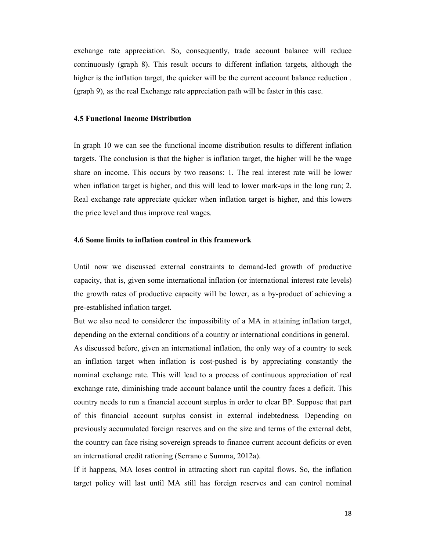exchange rate appreciation. So, consequently, trade account balance will reduce continuously (graph 8). This result occurs to different inflation targets, although the higher is the inflation target, the quicker will be the current account balance reduction . (graph 9), as the real Exchange rate appreciation path will be faster in this case.

# **4.5 Functional Income Distribution**

In graph 10 we can see the functional income distribution results to different inflation targets. The conclusion is that the higher is inflation target, the higher will be the wage share on income. This occurs by two reasons: 1. The real interest rate will be lower when inflation target is higher, and this will lead to lower mark-ups in the long run; 2. Real exchange rate appreciate quicker when inflation target is higher, and this lowers the price level and thus improve real wages.

## **4.6 Some limits to inflation control in this framework**

Until now we discussed external constraints to demand-led growth of productive capacity, that is, given some international inflation (or international interest rate levels) the growth rates of productive capacity will be lower, as a by-product of achieving a pre-established inflation target.

But we also need to considerer the impossibility of a MA in attaining inflation target, depending on the external conditions of a country or international conditions in general. As discussed before, given an international inflation, the only way of a country to seek an inflation target when inflation is cost-pushed is by appreciating constantly the nominal exchange rate. This will lead to a process of continuous appreciation of real exchange rate, diminishing trade account balance until the country faces a deficit. This country needs to run a financial account surplus in order to clear BP. Suppose that part of this financial account surplus consist in external indebtedness. Depending on previously accumulated foreign reserves and on the size and terms of the external debt, the country can face rising sovereign spreads to finance current account deficits or even an international credit rationing (Serrano e Summa, 2012a).

If it happens, MA loses control in attracting short run capital flows. So, the inflation target policy will last until MA still has foreign reserves and can control nominal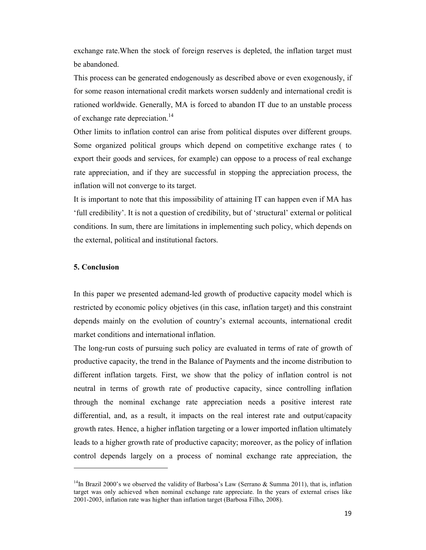exchange rate.When the stock of foreign reserves is depleted, the inflation target must be abandoned.

This process can be generated endogenously as described above or even exogenously, if for some reason international credit markets worsen suddenly and international credit is rationed worldwide. Generally, MA is forced to abandon IT due to an unstable process of exchange rate depreciation.<sup>14</sup>

Other limits to inflation control can arise from political disputes over different groups. Some organized political groups which depend on competitive exchange rates ( to export their goods and services, for example) can oppose to a process of real exchange rate appreciation, and if they are successful in stopping the appreciation process, the inflation will not converge to its target.

It is important to note that this impossibility of attaining IT can happen even if MA has 'full credibility'. It is not a question of credibility, but of 'structural' external or political conditions. In sum, there are limitations in implementing such policy, which depends on the external, political and institutional factors.

## **5. Conclusion**

l,

In this paper we presented ademand-led growth of productive capacity model which is restricted by economic policy objetives (in this case, inflation target) and this constraint depends mainly on the evolution of country's external accounts, international credit market conditions and international inflation.

The long-run costs of pursuing such policy are evaluated in terms of rate of growth of productive capacity, the trend in the Balance of Payments and the income distribution to different inflation targets. First, we show that the policy of inflation control is not neutral in terms of growth rate of productive capacity, since controlling inflation through the nominal exchange rate appreciation needs a positive interest rate differential, and, as a result, it impacts on the real interest rate and output/capacity growth rates. Hence, a higher inflation targeting or a lower imported inflation ultimately leads to a higher growth rate of productive capacity; moreover, as the policy of inflation control depends largely on a process of nominal exchange rate appreciation, the

<sup>&</sup>lt;sup>14</sup>In Brazil 2000's we observed the validity of Barbosa's Law (Serrano & Summa 2011), that is, inflation target was only achieved when nominal exchange rate appreciate. In the years of external crises like 2001-2003, inflation rate was higher than inflation target (Barbosa Filho, 2008).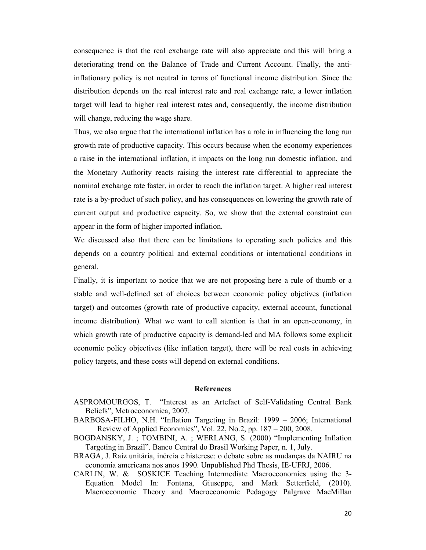consequence is that the real exchange rate will also appreciate and this will bring a deteriorating trend on the Balance of Trade and Current Account. Finally, the antiinflationary policy is not neutral in terms of functional income distribution. Since the distribution depends on the real interest rate and real exchange rate, a lower inflation target will lead to higher real interest rates and, consequently, the income distribution will change, reducing the wage share.

Thus, we also argue that the international inflation has a role in influencing the long run growth rate of productive capacity. This occurs because when the economy experiences a raise in the international inflation, it impacts on the long run domestic inflation, and the Monetary Authority reacts raising the interest rate differential to appreciate the nominal exchange rate faster, in order to reach the inflation target. A higher real interest rate is a by-product of such policy, and has consequences on lowering the growth rate of current output and productive capacity. So, we show that the external constraint can appear in the form of higher imported inflation.

We discussed also that there can be limitations to operating such policies and this depends on a country political and external conditions or international conditions in general.

Finally, it is important to notice that we are not proposing here a rule of thumb or a stable and well-defined set of choices between economic policy objetives (inflation target) and outcomes (growth rate of productive capacity, external account, functional income distribution). What we want to call atention is that in an open-economy, in which growth rate of productive capacity is demand-led and MA follows some explicit economic policy objectives (like inflation target), there will be real costs in achieving policy targets, and these costs will depend on external conditions.

#### **References**

- ASPROMOURGOS, T. "Interest as an Artefact of Self-Validating Central Bank Beliefs", Metroeconomica, 2007.
- BARBOSA-FILHO, N.H. "Inflation Targeting in Brazil: 1999 2006; International Review of Applied Economics", Vol. 22, No.2, pp. 187 – 200, 2008.
- BOGDANSKY, J. ; TOMBINI, A. ; WERLANG, S. (2000) "Implementing Inflation Targeting in Brazil". Banco Central do Brasil Working Paper, n. 1, July.
- BRAGA, J. Raiz unitária, inércia e histerese: o debate sobre as mudanças da NAIRU na economia americana nos anos 1990. Unpublished Phd Thesis, IE-UFRJ, 2006.
- CARLIN, W. & SOSKICE Teaching Intermediate Macroeconomics using the 3- Equation Model In: Fontana, Giuseppe, and Mark Setterfield, (2010). Macroeconomic Theory and Macroeconomic Pedagogy Palgrave MacMillan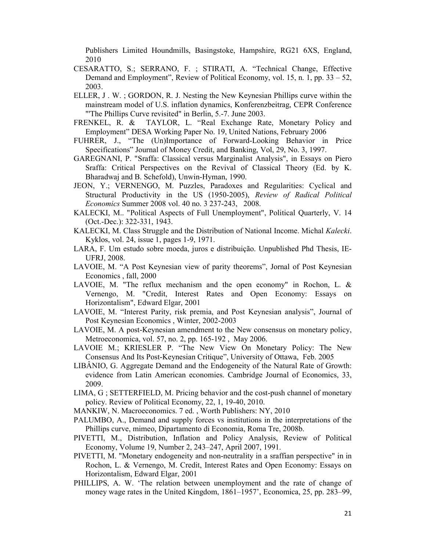Publishers Limited Houndmills, Basingstoke, Hampshire, RG21 6XS, England, 2010

- CESARATTO, S.; SERRANO, F. ; STIRATI, A. "Technical Change, Effective Demand and Employment", Review of Political Economy, vol. 15, n. 1, pp. 33 – 52, 2003.
- ELLER, J . W. ; GORDON, R. J. Nesting the New Keynesian Phillips curve within the mainstream model of U.S. inflation dynamics, Konferenzbeitrag, CEPR Conference "'The Phillips Curve revisited" in Berlin, 5.-7. June 2003.
- FRENKEL, R. & TAYLOR, L. "Real Exchange Rate, Monetary Policy and Employment" DESA Working Paper No. 19, United Nations, February 2006
- FUHRER, J., "The (Un)Importance of Forward-Looking Behavior in Price Specifications" Journal of Money Credit, and Banking, Vol, 29, No. 3, 1997.
- GAREGNANI, P. "Sraffa: Classical versus Marginalist Analysis", in Essays on Piero Sraffa: Critical Perspectives on the Revival of Classical Theory (Ed. by K. Bharadwaj and B. Schefold), Unwin-Hyman, 1990.
- JEON, Y.; VERNENGO, M. Puzzles, Paradoxes and Regularities: Cyclical and Structural Productivity in the US (1950-2005), *Review of Radical Political Economics* Summer 2008 vol. 40 no. 3 237-243, 2008.
- KALECKI, M.. "Political Aspects of Full Unemployment", Political Quarterly, V. 14 (Oct.-Dec.): 322-331, 1943.
- KALECKI, M. Class Struggle and the Distribution of National Income. Michal *Kalecki*. Kyklos, vol. 24, issue 1, pages 1-9, 1971.
- LARA, F. Um estudo sobre moeda, juros e distribuição. Unpublished Phd Thesis, IE-UFRJ, 2008.
- LAVOIE, M. "A Post Keynesian view of parity theorems", Jornal of Post Keynesian Economics , fall, 2000
- LAVOIE, M. "The reflux mechanism and the open economy" in Rochon, L. & Vernengo, M. "Credit, Interest Rates and Open Economy: Essays on Horizontalism", Edward Elgar, 2001
- LAVOIE, M. "Interest Parity, risk premia, and Post Keynesian analysis", Journal of Post Keynesian Economics , Winter, 2002-2003
- LAVOIE, M. A post-Keynesian amendment to the New consensus on monetary policy, Metroeconomica, vol. 57, no. 2, pp. 165-192 , May 2006.
- LAVOIE M.; KRIESLER P. "The New View On Monetary Policy: The New Consensus And Its Post-Keynesian Critique", University of Ottawa, Feb. 2005
- LIBÂNIO, G. Aggregate Demand and the Endogeneity of the Natural Rate of Growth: evidence from Latin American economies. Cambridge Journal of Economics, 33, 2009.
- LIMA, G ; SETTERFIELD, M. Pricing behavior and the cost-push channel of monetary policy. Review of Political Economy, 22, 1, 19-40, 2010.
- MANKIW, N. Macroeconomics. 7 ed. , Worth Publishers: NY, 2010
- PALUMBO, A., Demand and supply forces vs institutions in the interpretations of the Phillips curve, mimeo, Dipartamento di Economia, Roma Tre, 2008b.
- PIVETTI, M., Distribution, Inflation and Policy Analysis, Review of Political Economy, Volume 19, Number 2, 243–247, April 2007, 1991.
- PIVETTI, M. "Monetary endogeneity and non-neutrality in a sraffian perspective" in in Rochon, L. & Vernengo, M. Credit, Interest Rates and Open Economy: Essays on Horizontalism, Edward Elgar, 2001
- PHILLIPS, A. W. 'The relation between unemployment and the rate of change of money wage rates in the United Kingdom, 1861–1957', Economica, 25, pp. 283–99,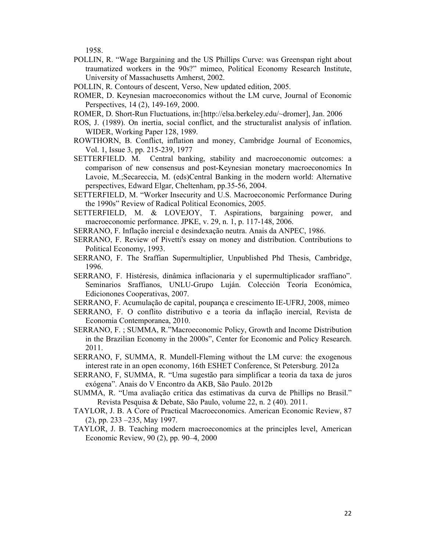1958.

- POLLIN, R. "Wage Bargaining and the US Phillips Curve: was Greenspan right about traumatized workers in the 90s?" mimeo, Political Economy Research Institute, University of Massachusetts Amherst, 2002.
- POLLIN, R. Contours of descent, Verso, New updated edition, 2005.
- ROMER, D. Keynesian macroeconomics without the LM curve, Journal of Economic Perspectives, 14 (2), 149-169, 2000.
- ROMER, D. Short-Run Fluctuations, in:[http://elsa.berkeley.edu/~dromer], Jan. 2006
- ROS, J. (1989). On inertia, social conflict, and the structuralist analysis of inflation. WIDER, Working Paper 128, 1989.
- ROWTHORN, B. Conflict, inflation and money, Cambridge Journal of Economics, Vol. 1, Issue 3, pp. 215-239, 1977
- SETTERFIELD. M. Central banking, stability and macroeconomic outcomes: a comparison of new consensus and post-Keynesian monetary macroeconomics In Lavoie, M.;Secareccia, M. (eds)Central Banking in the modern world: Alternative perspectives, Edward Elgar, Cheltenham, pp.35-56, 2004.
- SETTERFIELD, M. "Worker Insecurity and U.S. Macroeconomic Performance During the 1990s" Review of Radical Political Economics, 2005.
- SETTERFIELD, M. & LOVEJOY, T. Aspirations, bargaining power. and macroeconomic performance. JPKE, v. 29, n. 1, p. 117-148, 2006.
- SERRANO, F. Inflação inercial e desindexação neutra. Anais da ANPEC, 1986.
- SERRANO, F. Review of Pivetti's essay on money and distribution. Contributions to Political Economy, 1993.
- SERRANO, F. The Sraffian Supermultiplier, Unpublished Phd Thesis, Cambridge, 1996.
- SERRANO, F. Histéresis, dinâmica inflacionaria y el supermultiplicador sraffiano". Seminarios Sraffianos, UNLU-Grupo Luján. Colección Teoría Económica, Edicionones Cooperativas, 2007.
- SERRANO, F. Acumulação de capital, poupança e crescimento IE-UFRJ, 2008, mimeo
- SERRANO, F. O conflito distributivo e a teoria da inflação inercial, Revista de Economia Contemporanea, 2010.
- SERRANO, F. ; SUMMA, R."Macroeconomic Policy, Growth and Income Distribution in the Brazilian Economy in the 2000s", Center for Economic and Policy Research. 2011.
- SERRANO, F, SUMMA, R. Mundell-Fleming without the LM curve: the exogenous interest rate in an open economy, 16th ESHET Conference, St Petersburg. 2012a
- SERRANO, F, SUMMA, R. "Uma sugestão para simplificar a teoria da taxa de juros exógena". Anais do V Encontro da AKB, São Paulo. 2012b
- SUMMA, R. "Uma avaliação critica das estimativas da curva de Phillips no Brasil." Revista Pesquisa & Debate, São Paulo, volume 22, n. 2 (40). 2011.
- TAYLOR, J. B. A Core of Practical Macroeconomics. American Economic Review, 87 (2), pp. 233 –235, May 1997.
- TAYLOR, J. B. Teaching modern macroeconomics at the principles level, American Economic Review, 90 (2), pp. 90–4, 2000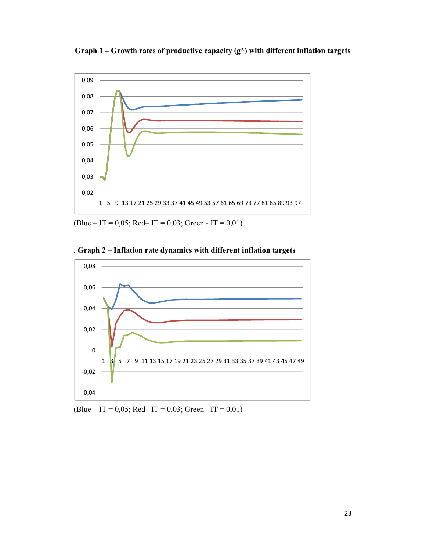**Graph 1 – Growth rates of productive capacity (g\*) with different inflation targets** 



 $(B$ lue – IT = 0,05; Red– IT = 0,03; Green - IT = 0,01)





 $(B$ lue – IT = 0,05; Red– IT = 0,03; Green - IT = 0,01)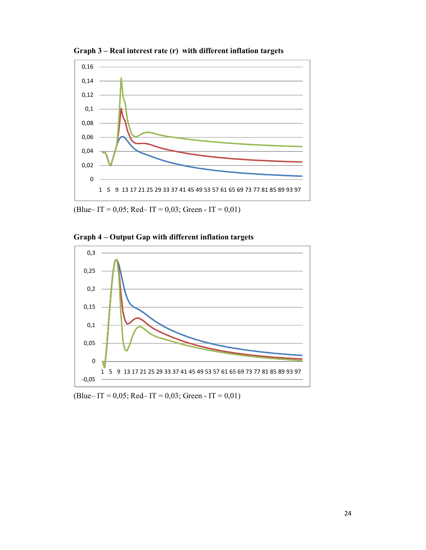

**Graph 3 – Real interest rate (r) with different inflation targets**

(Blue– IT = 0,05; Red– IT = 0,03; Green - IT = 0,01)





(Blue– IT = 0,05; Red– IT = 0,03; Green - IT = 0,01)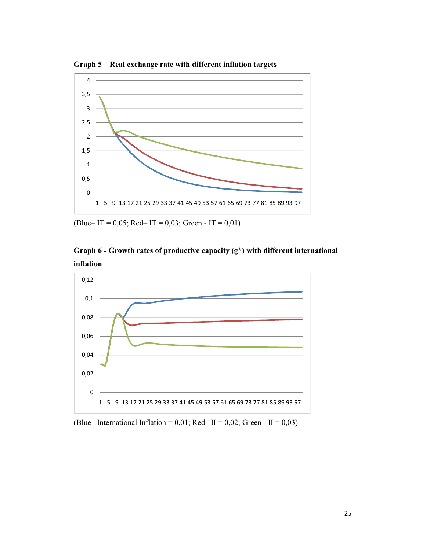**Graph 5 – Real exchange rate with different inflation targets** 



(Blue– IT = 0,05; Red– IT = 0,03; Green - IT = 0,01)





(Blue– International Inflation =  $0.01$ ; Red– II =  $0.02$ ; Green - II =  $0.03$ )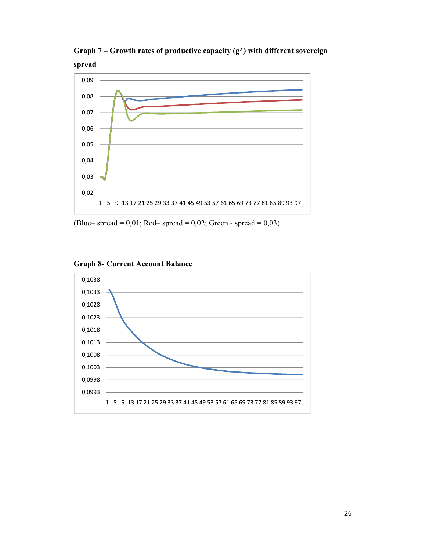**Graph 7 – Growth rates of productive capacity (g\*) with different sovereign spread** 



(Blue– spread =  $0.01$ ; Red– spread =  $0.02$ ; Green - spread =  $0.03$ )